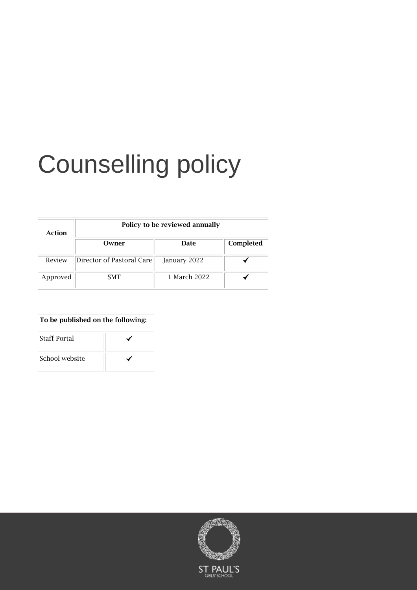# Counselling policy

| Action   | Policy to be reviewed annually |              |           |
|----------|--------------------------------|--------------|-----------|
|          | Owner                          | Date         | Completed |
| Review   | Director of Pastoral Care      | January 2022 |           |
| Approved | <b>SMT</b>                     | 1 March 2022 |           |

| To be published on the following: |  |  |
|-----------------------------------|--|--|
| <b>Staff Portal</b>               |  |  |
| School website                    |  |  |

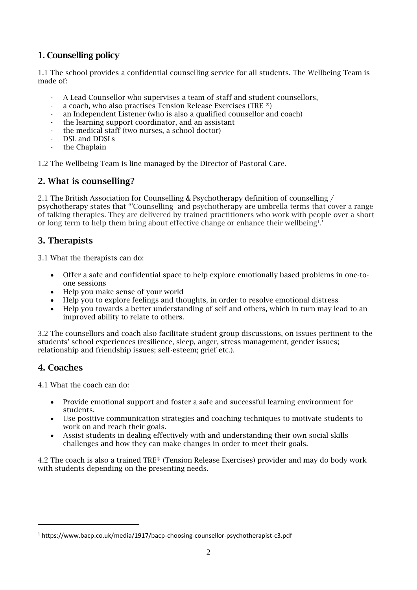### 1. Counselling policy

1.1 The school provides a confidential counselling service for all students. The Wellbeing Team is made of:

- A Lead Counsellor who supervises a team of staff and student counsellors,
- a coach, who also practises Tension Release Exercises (TRE ®)
- an Independent Listener (who is also a qualified counsellor and coach)
- the learning support coordinator, and an assistant
- the medical staff (two nurses, a school doctor)
- DSL and DDSLs
- the Chaplain

1.2 The Wellbeing Team is line managed by the Director of Pastoral Care.

#### 2. What is counselling?

2.1 The British Association for Counselling & Psychotherapy definition of counselling / psychotherapy states that "'Counselling and psychotherapy are umbrella terms that cover a range of talking therapies. They are delivered by trained practitioners who work with people over a short or long term to help them bring about effective change or enhance their wellbeing<sup>1</sup>.

#### 3. Therapists

3.1 What the therapists can do:

- Offer a safe and confidential space to help explore emotionally based problems in one-toone sessions
- Help you make sense of your world
- Help you to explore feelings and thoughts, in order to resolve emotional distress
- Help you towards a better understanding of self and others, which in turn may lead to an improved ability to relate to others.

3.2 The counsellors and coach also facilitate student group discussions, on issues pertinent to the students' school experiences (resilience, sleep, anger, stress management, gender issues; relationship and friendship issues; self-esteem; grief etc.).

#### 4. Coaches

4.1 What the coach can do:

- Provide emotional support and foster a safe and successful learning environment for students.
- Use positive communication strategies and coaching techniques to motivate students to work on and reach their goals.
- Assist students in dealing effectively with and understanding their own social skills challenges and how they can make changes in order to meet their goals.

4.2 The coach is also a trained TRE® (Tension Release Exercises) provider and may do body work with students depending on the presenting needs.

<sup>1</sup> https://www.bacp.co.uk/media/1917/bacp-choosing-counsellor-psychotherapist-c3.pdf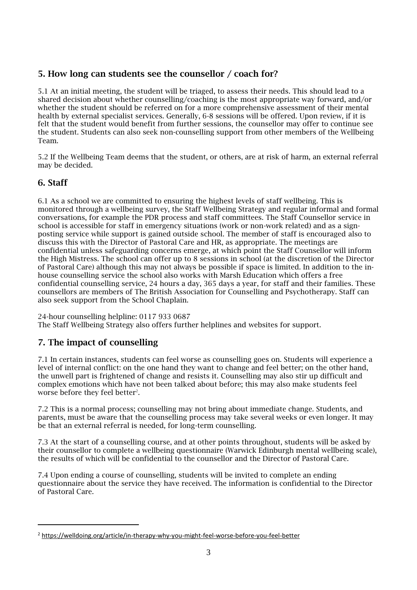## 5. How long can students see the counsellor / coach for?

5.1 At an initial meeting, the student will be triaged, to assess their needs. This should lead to a shared decision about whether counselling/coaching is the most appropriate way forward, and/or whether the student should be referred on for a more comprehensive assessment of their mental health by external specialist services. Generally, 6-8 sessions will be offered. Upon review, if it is felt that the student would benefit from further sessions, the counsellor may offer to continue see the student. Students can also seek non-counselling support from other members of the Wellbeing Team.

5.2 If the Wellbeing Team deems that the student, or others, are at risk of harm, an external referral may be decided.

#### 6. Staff

6.1 As a school we are committed to ensuring the highest levels of staff wellbeing. This is monitored through a wellbeing survey, the Staff Wellbeing Strategy and regular informal and formal conversations, for example the PDR process and staff committees. The Staff Counsellor service in school is accessible for staff in emergency situations (work or non-work related) and as a signposting service while support is gained outside school. The member of staff is encouraged also to discuss this with the Director of Pastoral Care and HR, as appropriate. The meetings are confidential unless safeguarding concerns emerge, at which point the Staff Counsellor will inform the High Mistress. The school can offer up to 8 sessions in school (at the discretion of the Director of Pastoral Care) although this may not always be possible if space is limited. In addition to the inhouse counselling service the school also works with Marsh Education which offers a free confidential counselling service, 24 hours a day, 365 days a year, for staff and their families. These counsellors are members of The British Association for Counselling and Psychotherapy. Staff can also seek support from the School Chaplain.

24-hour counselling helpline: 0117 933 0687 The Staff Wellbeing Strategy also offers further helplines and websites for support.

#### 7. The impact of counselling

7.1 In certain instances, students can feel worse as counselling goes on. Students will experience a level of internal conflict: on the one hand they want to change and feel better; on the other hand, the unwell part is frightened of change and resists it. Counselling may also stir up difficult and complex emotions which have not been talked about before; this may also make students feel worse before they feel better $^{\text{2}}$ .

7.2 This is a normal process; counselling may not bring about immediate change. Students, and parents, must be aware that the counselling process may take several weeks or even longer. It may be that an external referral is needed, for long-term counselling.

7.3 At the start of a counselling course, and at other points throughout, students will be asked by their counsellor to complete a wellbeing questionnaire (Warwick Edinburgh mental wellbeing scale), the results of which will be confidential to the counsellor and the Director of Pastoral Care.

7.4 Upon ending a course of counselling, students will be invited to complete an ending questionnaire about the service they have received. The information is confidential to the Director of Pastoral Care.

<sup>2</sup> <https://welldoing.org/article/in-therapy-why-you-might-feel-worse-before-you-feel-better>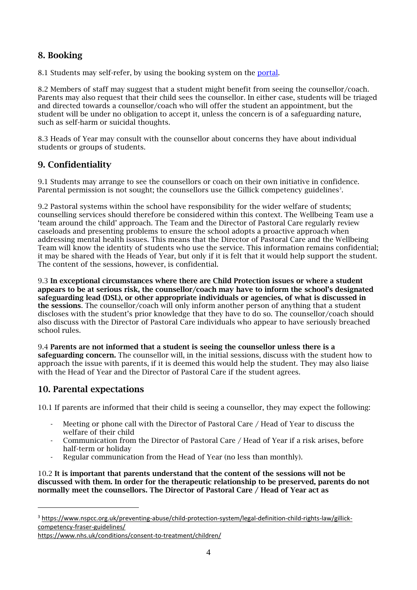# 8. Booking

8.1 Students may self-refer, by using the booking system on the [portal.](https://portal.spgs.org/well-being/counselling)

8.2 Members of staff may suggest that a student might benefit from seeing the counsellor/coach. Parents may also request that their child sees the counsellor. In either case, students will be triaged and directed towards a counsellor/coach who will offer the student an appointment, but the student will be under no obligation to accept it, unless the concern is of a safeguarding nature, such as self-harm or suicidal thoughts.

8.3 Heads of Year may consult with the counsellor about concerns they have about individual students or groups of students.

#### 9. Confidentiality

9.1 Students may arrange to see the counsellors or coach on their own initiative in confidence. Parental permission is not sought; the counsellors use the Gillick competency guidelines<sup>3</sup>.

9.2 Pastoral systems within the school have responsibility for the wider welfare of students; counselling services should therefore be considered within this context. The Wellbeing Team use a 'team around the child' approach. The Team and the Director of Pastoral Care regularly review caseloads and presenting problems to ensure the school adopts a proactive approach when addressing mental health issues. This means that the Director of Pastoral Care and the Wellbeing Team will know the identity of students who use the service. This information remains confidential; it may be shared with the Heads of Year, but only if it is felt that it would help support the student. The content of the sessions, however, is confidential.

9.3 In exceptional circumstances where there are Child Protection issues or where a student appears to be at serious risk, the counsellor/coach may have to inform the school's designated safeguarding lead (DSL), or other appropriate individuals or agencies, of what is discussed in the sessions. The counsellor/coach will only inform another person of anything that a student discloses with the student's prior knowledge that they have to do so. The counsellor/coach should also discuss with the Director of Pastoral Care individuals who appear to have seriously breached school rules.

9.4 Parents are not informed that a student is seeing the counsellor unless there is a safeguarding concern. The counsellor will, in the initial sessions, discuss with the student how to approach the issue with parents, if it is deemed this would help the student. They may also liaise with the Head of Year and the Director of Pastoral Care if the student agrees.

# 10. Parental expectations

10.1 If parents are informed that their child is seeing a counsellor, they may expect the following:

- Meeting or phone call with the Director of Pastoral Care / Head of Year to discuss the welfare of their child
- Communication from the Director of Pastoral Care / Head of Year if a risk arises, before half-term or holiday
- Regular communication from the Head of Year (no less than monthly).

10.2 It is important that parents understand that the content of the sessions will not be discussed with them. In order for the therapeutic relationship to be preserved, parents do not normally meet the counsellors. The Director of Pastoral Care / Head of Year act as

<sup>3</sup> [https://www.nspcc.org.uk/preventing-abuse/child-protection-system/legal-definition-child-rights-law/gillick](https://www.nspcc.org.uk/preventing-abuse/child-protection-system/legal-definition-child-rights-law/gillick-competency-fraser-guidelines/)[competency-fraser-guidelines/](https://www.nspcc.org.uk/preventing-abuse/child-protection-system/legal-definition-child-rights-law/gillick-competency-fraser-guidelines/)

<https://www.nhs.uk/conditions/consent-to-treatment/children/>